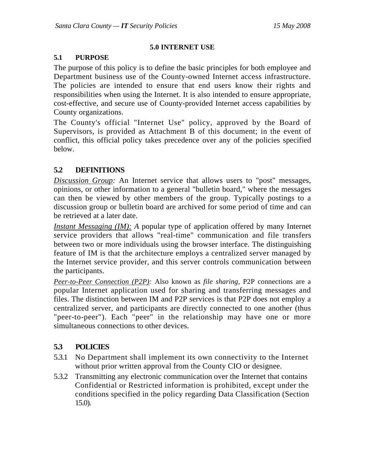### **5.0 INTERNET USE**

### **5.1 PURPOSE**

The purpose of this policy is to define the basic principles for both employee and Department business use of the County-owned Internet access infrastructure. The policies are intended to ensure that end users know their rights and responsibilities when using the Internet. It is also intended to ensure appropriate, cost-effective, and secure use of County-provided Internet access capabilities by County organizations.

The County's official "Internet Use" policy, approved by the Board of Supervisors, is provided as Attachment B of this document; in the event of conflict, this official policy takes precedence over any of the policies specified below.

# **5.2 DEFINITIONS**

*Discussion Group:* An Internet service that allows users to "post" messages, opinions, or other information to a general "bulletin board," where the messages can then be viewed by other members of the group. Typically postings to a discussion group or bulletin board are archived for some period of time and can be retrieved at a later date.

*Instant Messaging (IM): A popular type of application offered by many Internet* service providers that allows "real-time" communication and file transfers between two or more individuals using the browser interface. The distinguishing feature of IM is that the architecture employs a centralized server managed by the Internet service provider, and this server controls communication between the participants.

*Peer-to-Peer Connection (P2P):* Also known as *file sharing,* P2P connections are a popular Internet application used for sharing and transferring messages and files. The distinction between IM and P2P services is that P2P does not employ a centralized server, and participants are directly connected to one another (thus "peer-to-peer"). Each "peer" in the relationship may have one or more simultaneous connections to other devices.

## **5.3 POLICIES**

- 5.3.1 No Department shall implement its own connectivity to the Internet without prior written approval from the County CIO or designee.
- 5.3.2 Transmitting any electronic communication over the Internet that contains Confidential or Restricted information is prohibited, except under the conditions specified in the policy regarding Data Classification (Section 15.0).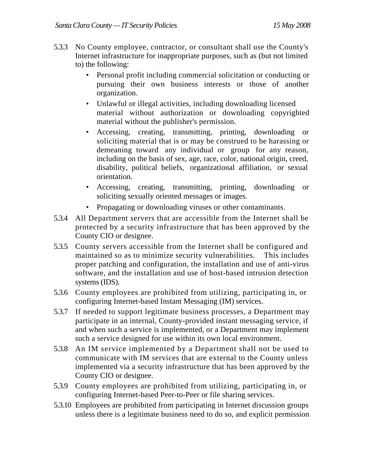- 5.3.3 No County employee, contractor, or consultant shall use the County's Internet infrastructure for inappropriate purposes, such as (but not limited to) the following:
	- Personal profit including commercial solicitation or conducting or pursuing their own business interests or those of another organization.
	- Unlawful or illegal activities, including downloading licensed material without authorization or downloading copyrighted material without the publisher's permission.
	- Accessing, creating, transmitting, printing, downloading or soliciting material that is or may be construed to be harassing or demeaning toward any individual or group for any reason, including on the basis of sex, age, race, color, national origin, creed, disability, political beliefs, organizational affiliation, or sexual orientation.
	- Accessing, creating, transmitting, printing, downloading or soliciting sexually oriented messages or images.
	- Propagating or downloading viruses or other contaminants.
- 5.3.4 All Department servers that are accessible from the Internet shall be protected by a security infrastructure that has been approved by the County CIO or designee.
- 5.3.5 County servers accessible from the Internet shall be configured and maintained so as to minimize security vulnerabilities. This includes proper patching and configuration, the installation and use of anti-virus software, and the installation and use of host-based intrusion detection systems (IDS).
- 5.3.6 County employees are prohibited from utilizing, participating in, or configuring Internet-based Instant Messaging (IM) services.
- 5.3.7 If needed to support legitimate business processes, a Department may participate in an internal, County-provided instant messaging service, if and when such a service is implemented, or a Department may implement such a service designed for use within its own local environment.
- 5.3.8 An IM service implemented by a Department shall not be used to communicate with IM services that are external to the County unless implemented via a security infrastructure that has been approved by the County CIO or designee.
- 5.3.9 County employees are prohibited from utilizing, participating in, or configuring Internet-based Peer-to-Peer or file sharing services.
- 5.3.10 Employees are prohibited from participating in Internet discussion groups unless there is a legitimate business need to do so, and explicit permission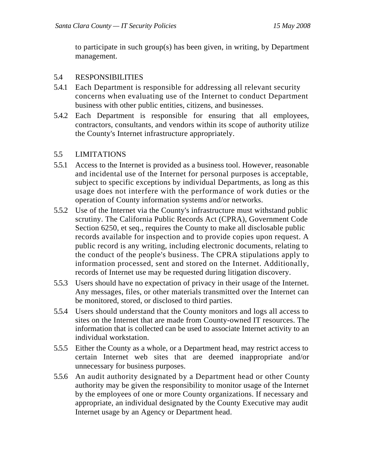to participate in such group(s) has been given, in writing, by Department management.

### 5.4 RESPONSIBILITIES

- 5.4.1 Each Department is responsible for addressing all relevant security concerns when evaluating use of the Internet to conduct Department business with other public entities, citizens, and businesses.
- 5.4.2 Each Department is responsible for ensuring that all employees, contractors, consultants, and vendors within its scope of authority utilize the County's Internet infrastructure appropriately.

### 5.5 LIMITATIONS

- 5.5.1 Access to the Internet is provided as a business tool. However, reasonable and incidental use of the Internet for personal purposes is acceptable, subject to specific exceptions by individual Departments, as long as this usage does not interfere with the performance of work duties or the operation of County information systems and/or networks.
- 5.5.2 Use of the Internet via the County's infrastructure must withstand public scrutiny. The California Public Records Act (CPRA), Government Code Section 6250, et seq., requires the County to make all disclosable public records available for inspection and to provide copies upon request. A public record is any writing, including electronic documents, relating to the conduct of the people's business. The CPRA stipulations apply to information processed, sent and stored on the Internet. Additionally, records of Internet use may be requested during litigation discovery.
- 5.5.3 Users should have no expectation of privacy in their usage of the Internet. Any messages, files, or other materials transmitted over the Internet can be monitored, stored, or disclosed to third parties.
- 5.5.4 Users should understand that the County monitors and logs all access to sites on the Internet that are made from County-owned IT resources. The information that is collected can be used to associate Internet activity to an individual workstation.
- 5.5.5 Either the County as a whole, or a Department head, may restrict access to certain Internet web sites that are deemed inappropriate and/or unnecessary for business purposes.
- 5.5.6 An audit authority designated by a Department head or other County authority may be given the responsibility to monitor usage of the Internet by the employees of one or more County organizations. If necessary and appropriate, an individual designated by the County Executive may audit Internet usage by an Agency or Department head.